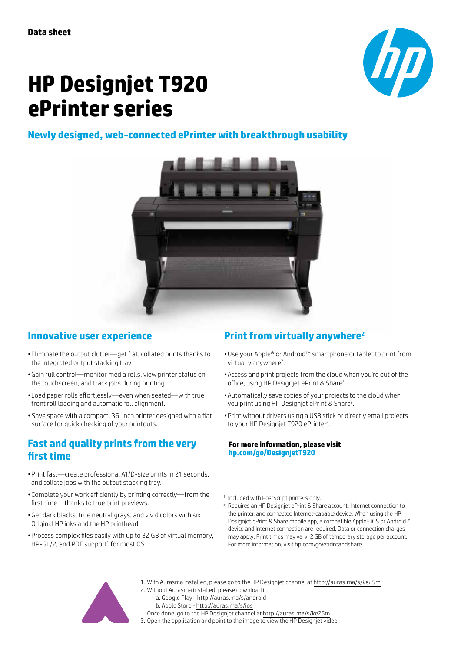

# **HP Designjet T920 ePrinter series**

### **Newly designed, web-connected ePrinter with breakthrough usability**



#### **Innovative user experience**

- Eliminate the output clutter—get flat, collated prints thanks to the integrated output stacking tray.
- • Gain full control—monitor media rolls, view printer status on the touchscreen, and track jobs during printing.
- Load paper rolls effortlessly-even when seated-with true front roll loading and automatic roll alignment.
- • Save space with a compact, 36-inch printer designed with a flat surface for quick checking of your printouts.

#### **Fast and quality prints from the very first time**

- • Print fast—create professional A1/D-size prints in 21 seconds, and collate jobs with the output stacking tray.
- • Complete your work efficiently by printing correctly—from the first time—thanks to true print previews.
- • Get dark blacks, true neutral grays, and vivid colors with six Original HP inks and the HP printhead.
- • Process complex files easily with up to 32 GB of virtual memory, HP-GL/2, and PDF support<sup>1</sup> for most OS.

## **Print from virtually anywhere2**

- • Use your Apple® or Android™ smartphone or tablet to print from virtually anywhere<sup>2</sup>.
- • Access and print projects from the cloud when you're out of the office, using HP Designjet ePrint & Share<sup>2</sup>.
- Automatically save copies of your projects to the cloud when you print using HP Designjet ePrint & Share<sup>2</sup>.
- • Print without drivers using a USB stick or directly email projects to your HP Designjet T920 ePrinter<sup>2</sup>.

#### **For more information, please visit [hp.com/go/DesignjetT920](www.hp.com/go/DesignjetT920)**

- <sup>1</sup> Included with PostScript printers only.
- <sup>2</sup> Requires an HP Designjet ePrint & Share account, Internet connection to the printer, and connected Internet-capable device. When using the HP Designjet ePrint & Share mobile app, a compatible Apple® iOS or Android™ device and Internet connection are required. Data or connection charges may apply. Print times may vary. 2 GB of temporary storage per account. For more information, visit [hp.com/go/eprintandshare.](www.hp.com/go/eprintandshare)



1. With Aurasma installed, please go to the HP Designjet channel at [http://auras.ma/s/ke25](http://auras.ma/s/ke25m)m 2. Without Aurasma installed, please download it: a. Google Play - <http://auras.ma/s/android> b. Apple Store - <http://auras.ma/s/ios>

 Once done, go to the HP Designjet channel at <http://auras.ma/s/ke25m>

3. Open the application and point to the image to view the HP Designjet video